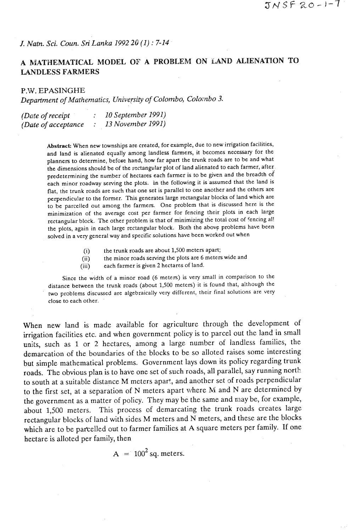*J. Natn. Sci. Coun. Sri Lanka 1992* **20** *(1)* : 7-14

## **A MATHEMATICAL MODEL OF A PROBLEM ON LAND ALIENATION TO LANDLESS FARMERS**

## **P.W.** *EPASINGHE*

*Department* **of** *Mathematics, Universily* **of Colombo, Coloxtbo 3.** 

| (Date of receipt)    |  | 10 September 1991) |
|----------------------|--|--------------------|
| (Date of acceptance) |  | 13 November 1991)  |

Abstract: When new townships are created, for example, due to new irrigation facilities, and land is alienated equally among landless farmers, it becomes necessary for the planners to determine, before hand, how far apart the trunk roads are to be and what the dimensions should be of the rectangular plot of land alienated to each farmer, after. predetermining the number of hectares each farmer is to be given and the breadth of each minor roadway serving the plots. In the following it is assumed that the land is flat, the trunk roads are such that one set is parallel to one another and the others are perpendicular to the former. This generates large rectangular blocks of land which are to be parcelled out among the farmers. One problem that is discussed here is the minimization of the average cost per farmer for fencing their plots in each large rectangular block. The other problem is that of minimizing the total cost of fencing all the plots, again in each large rectangular block. Both the above problems have been solved in a very general way and specific solutions have been worked out when

- **(i)** the trunk roads are about **1,500** meters apart;
- (ii) the minor roads serving the plots are 6 meters wide and
- (iii) each farmer is given 2 hectares of land.

Since the width of a minor road (6 meters) is very small in comparison to the distance between the trunk roads (about 1,500 meters) it is found that, although the two problems discussed are algebraically very different, their final solutions are very close to each other.

When new land is made available for agriculture through the development of irrigation facilities etc. and when government policy is to parcel out the land in small units, such as 1 or 2 hectares, among a large number of landless families, the demarcation of the boundaries of the blocks to be so alloted raises some interesting but simple mathematical problems. Government lays down its policy regarding trunk roads. The obvious plan is to have one set of such roads, all parallel, say running north to south at a suitable distance M meters apart, and another set of roads perpendicular to the first set, at a separation of N meters apart where **M** and N are determined by the government as a matter of policy. They may be the same and may be, for example, about 1,500 meters. This process of demarcating the trunk roads creates large rectangular blocks of land with sides M meters and N meters, and these are the blocks which are to be parcelled out to farmer families at A square meters per family. If one hectare is alloted per family, then

$$
A = 100^2 \text{ sq. meters.}
$$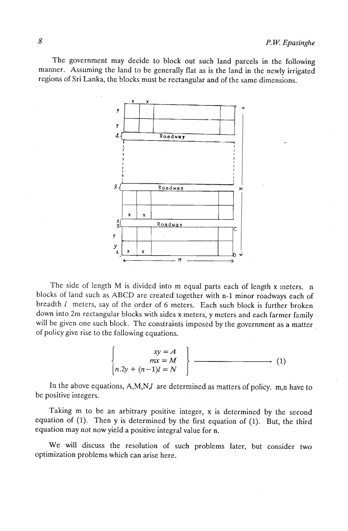The government may decide. to block out such land parcels in the following manner. Assuming the land to be generally flat as is the land in the newly irrigated regions of Sri Lanka, the blocks must be rectangular and of the same dimensions.



The side of length M is divided into m equal parts each of length x meters. n blocks of land such as ABCD are created together with n-1 minor roadways each of breadth 1 meters, say of the order of 6 meters. Each such block is further broken down into 2m rectangular blocks with sides x meters, y meters and each farmer family will be given one such block. The constraints imposed by the government as a matter of policy give rise to the following equations.

$$
\begin{cases}\nxy = A \\
mx = M \\
n.2y + (n-1)l = N\n\end{cases}
$$
\n(1)

In the above equations, A,M,N,I are determined as matters of policy. m,n have to be positive integers.

Taking m to be an arbitrary positive integer, **x** is determined by the second equation of **(1).** Then y is determined by the first equation of **(1).** But, the third equation may not now yield a positive integral value for n.

We will discuss the resolution of such problems later, but consider two optimization problems which can arise here.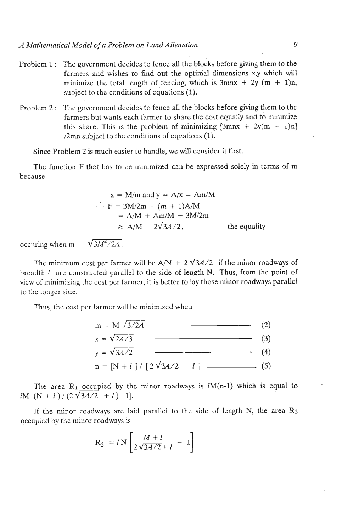- Problem 1: The government decides to fence all the blocks before giving them to the farmers and wishes to find out the optimal dimensions xy which will minimize the total length of fencing, which is  $3mmx + 2y (m + 1)n$ , subject to the conditions of equations (I).
- Problem 2: The government decides to fence all the blocks before giving them to the farmers but wants each farmer to share the cost equally and to minimize this share. This is the problem of minimizing  $[3mnx + 2y(m + 1)n]$ /2mn subject to the conditions of eacations **(1).**

Since Problem **2** is much easier to handle, we will consider **if** first.

The function F that has to be minimized can be expressed solely in terms of **m**  because

$$
x = M/m \text{ and } y = A/x = Am/M
$$
  
\n
$$
\cdot \quad F = 3M/2m + (m + 1)A/M
$$
  
\n
$$
= A/M + Am/M + 3M/2m
$$
  
\n
$$
\ge A/M + 2\sqrt{3A/2},
$$
 the equality

occuring when m =  $\sqrt{3M^2/24}$ .

The minimum cost per farmer will be  $A/N + 2\sqrt{3A/2}$  if the minor roadways of breadth *l* are constructed parallel to the side of length N. Thus, from the point of view of minimizing the cost per farmer, it is better to lay those minor roadways parallel io the longer side.

Thus, the cost per farmer will be minimized whea



The area  $R_1$  occupied by the minor roadways is  $M(n-1)$  which is equal to  $lM[(N + l)/(2\sqrt{3A/2} + l) - 1].$ 

If the minor roadways are laid parallel to the side of length N, the area  $R_2$ occupied by the minor roadways is

$$
R_2 = l N \left[ \frac{M + l}{2\sqrt{3A/2} + l} - 1 \right]
$$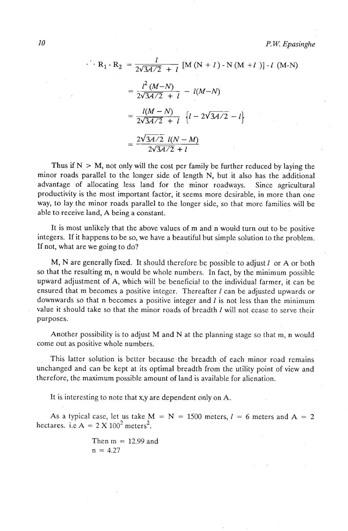$$
R_1 - R_2 = \frac{l}{2\sqrt{3A/2} + l} [M (N + l) - N (M + l)] - l (M - N)
$$
  
=  $\frac{l^2 (M - N)}{2\sqrt{3A/2} + l} - l(M - N)$   
=  $\frac{l(M - N)}{2\sqrt{3A/2} + l} \{l - 2\sqrt{3A/2} - l\}$   
=  $\frac{2\sqrt{3A/2} l(N - M)}{2\sqrt{3A/2} + l}$ 

Thus if  $N > M$ , not only will the cost per family be further reduced by laying the minor roads parallel to the longer side of length N, but it also has the additional advantage of allocating less land for the minor roadways. Since agricultural productivity is the most important factor, it seems more desirable, in more than one way, to lay the minor roads parallel to the longer side, so that more families will be able to receive land, **A** being a constant.

It is most unlikely that the above values of m and n would turn out to be positive integers. If it happens to be so, we have a beautiful but simple solution to the problem. If not, what are we going to do?

M, N are generally fixed. It should therefore be possible to adjust 1 or **A** or both so that the resulting m, n would be whole numbers. In fact, by the minimum possible upward adjustment of A, which will be beneficial to the individual farmer, it can be ensured that m becomes a positive integer. Thereafter *1* can be adjusted upwards or downwards so that n becomes a positive integer and *I* is not less than the minimum value it should take so that the minor roads of breadth *I* will not cease to serve their purposes.

Another possibility is to adjust M and N at the planning stage so that m, n would come out as positive whole numbers.

This latter solution is better because the breadth of each minor road remains unchanged and can be kept at its optimal breadth from the utility point of view and therefore, the maximum possible amount of land is available for alienation.

It is interesting to note that **x,y** are dependent only on A.

As a typical case, let us take  $M = N = 1500$  meters,  $l = 6$  meters and  $A = 2$ hectares. i.e  $A = 2 \times 100^2$  meters<sup>2</sup>.

> Then  $m = 12.99$  and  $n = 4.27$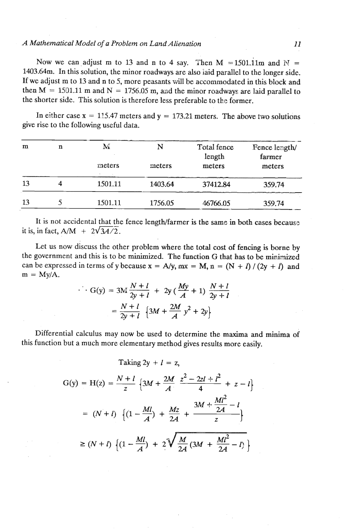## *A Mathematical Model of a Prohlem on LandAlienation 11*

Now we can adjust m to 13 and n to 4 say. Then M = 1501.11m and  $N =$ 1403.64m. In this solution, the minor roadways are also laid parallel to the longer side. If we adjust m to 13 and n to 5, more peasants will be accommodated in this block and then  $M = 1501.11$  m and  $N = 1756.05$  m, and the minor roadways are laid parallel to the shorter side. This solution is therefore less preferable to the former.

In either case  $x = 115.47$  meters and  $y = 173.21$  meters. The above two solutions give rise to the following useful data.

| m  | n | M<br>meters | N<br>meters | Total fence<br>length<br>meters | Fence length/<br>farmer<br>meters |
|----|---|-------------|-------------|---------------------------------|-----------------------------------|
| 13 | 4 | 1501.11     | 1403.64     | 37412.84                        | 359.74                            |
| 13 |   | 1501.11     | 1756.05     | 46766.05                        | 359.74                            |

It is not accidental that the fence length/farmer is the same in both cases because it is, in fact,  $A/M + 2\sqrt{34/2}$ .

Let us now discuss the other problem where the total cost of fencing is borne by the government and this is to be minimized. The function G that has to be minimized can be expressed in terms of y because  $x = A/y$ ,  $mx = M$ ,  $n = (N + l)/(2y + l)$  and  $m = My/A$ .

$$
G(y) = 3M \frac{N+l}{2y+l} + 2y \left(\frac{My}{A} + 1\right) \frac{N+l}{2y+l}
$$
  
=  $\frac{N+l}{2y+l} \left\{3M + \frac{2M}{A}y^2 + 2y\right\}$ 

Differential calculus may now be used to determine the maxima and minima of this function but a much more elementary method gives results more easily.

Taking 
$$
2y + l = z
$$
,

$$
G(y) = H(z) = \frac{N+l}{z} \left\{ 3M + \frac{2M}{A} \frac{z^2 - 2zl + l^2}{4} + z - l \right\}
$$
  
=  $(N+l) \left\{ (1 - \frac{Ml}{A}) + \frac{Mz}{2A} + \frac{3M + \frac{Ml^2}{2A} - l}{z} \right\}$   
 $\ge (N+l) \left\{ (1 - \frac{Ml}{A}) + 2\sqrt{\frac{M}{2A} (3M + \frac{Ml^2}{2A} - l)} \right\}$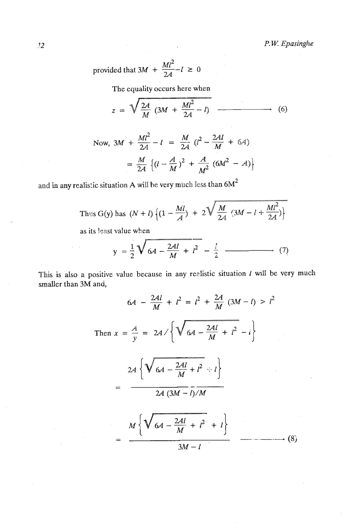provided that 
$$
3M' + \frac{Ml^2}{2A} - l \ge 0
$$

**The equality occurs here when** 

$$
z = \sqrt{\frac{2A}{M} (3M + \frac{Ml^2}{2A} - l)}
$$
 (6)

Now, 
$$
3M + \frac{Ml^2}{2A} - l = \frac{M}{2A} (l^2 - \frac{2Al}{M} + 6A)
$$
  
=  $\frac{M}{2A} (l - \frac{A}{M})^2 + \frac{A}{M^2} (6M^2 - A)$ 

and **in any realistic situation A will be very much less than**  $6M^2$ 

Thus G(y) has 
$$
(N+l)\left\{(1-\frac{Ml}{A})+2\sqrt{\frac{M}{2A}(3M-l+\frac{Ml^2}{2A})}\right\}
$$

**as its least value when** 

$$
y = \frac{1}{2} \sqrt{64 - \frac{24l}{M} + l^2 - \frac{l}{2}}
$$
 (7)

**This is also a positive value because in any realistic situation 1 will be very much smaller than** *3M* **and,** 

$$
6A - \frac{2Al}{M} + l^2 = l^2 + \frac{2A}{M} (3M - l) > l^2
$$
  
\nThen  $x = \frac{A}{y} = 2A / \sqrt{6A - \frac{2Al}{M} + l^2 - l}$   
\n
$$
= \frac{2A \sqrt{6A - \frac{2Al}{M} + l^2 + l}}{2A (3M - l)/M}
$$
  
\n
$$
= \frac{M \sqrt{6A - \frac{2Al}{M} + l^2 + l}}{3M - l}
$$
 (8)

 $12$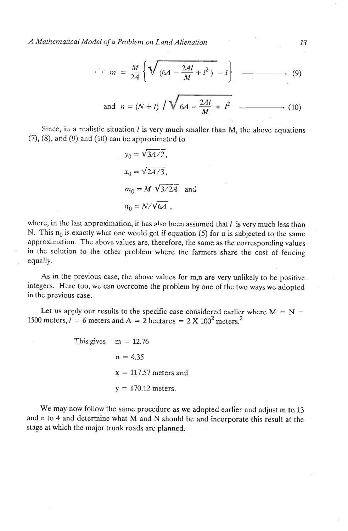$$
m = \frac{M}{2A} \left\{ \sqrt{\left(6A - \frac{2AI}{M} + l^2\right) - l} \right\}
$$
 (9)

and 
$$
n = (N + l) / \sqrt{6A - \frac{2Al}{M} + l^2}
$$
 (10)

Since, in a realistic situation  $l$  is very much smaller than M, the above equations  $(7)$ ,  $(8)$ , and  $(9)$  and  $(10)$  can be approximated to

$$
y_0 = \sqrt{3A/2},
$$
  
\n
$$
x_0 = \sqrt{2A/3},
$$
  
\n
$$
m_0 = M \sqrt{3/2A} \text{ and}
$$
  
\n
$$
n_0 = N/\sqrt{6A},
$$

where, in the last approximation, it has also been assumed that  $l$  is very much less than N. This  $n_0$  is exactly what one would get if equation (5) for n is subjected to the same approximation. The above values are, therefore, the same as the corresponding values in the solution to the other problem where the farmers share the cost of fencing equally.

As in the previous case, the above values for m,n are very unlikely to be positive integers. Here too, we can overcome the problem by one of the two ways we adopted in the previous case.

Let us apply our results to the specific case considered earlier where  $M = N = 1500$  meters,  $l = 6$  meters and  $A = 2$  hectares =  $2 \times 100^2$  meters.<sup>2</sup>

This gives  $m = 12.76$  $n = 4.35$  $x = 117.57$  meters and  $y = 170.12$  meters.

We may now follow the same procedure as we adopted earlier and adjust m to 13 and **n** to 4 and determine what M and N should be and incorporate this result at the stage at which the major trunk roads are planned.